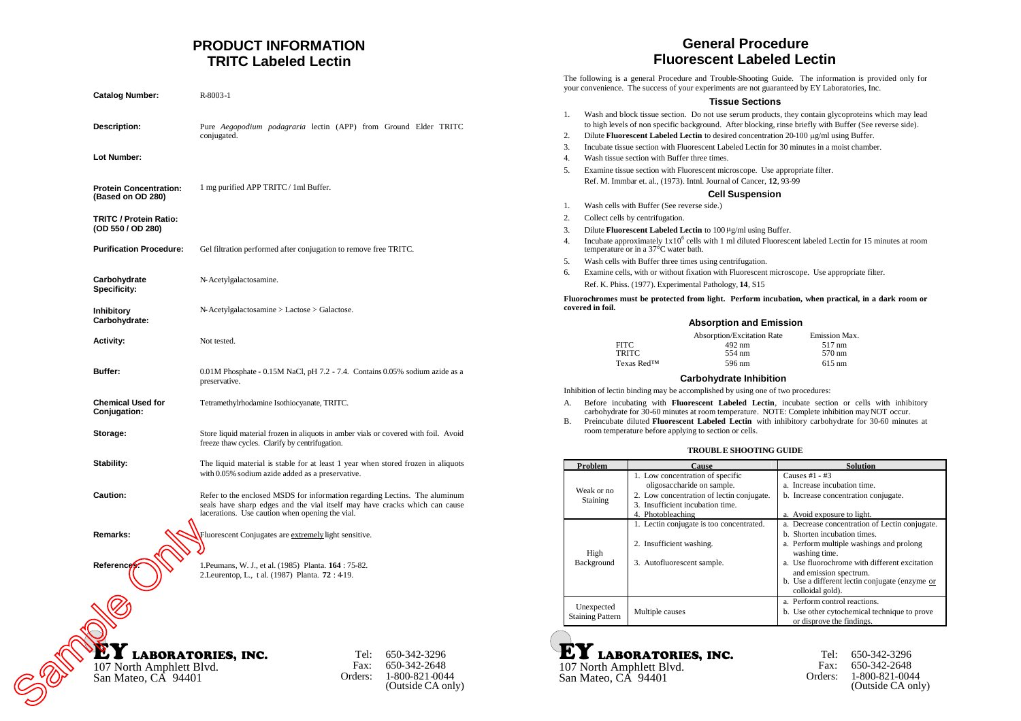# **PRODUCT INFORMATION TRITC Labeled Lectin**

| <b>Catalog Number:</b>                             | R-8003-1                                                                                                                                                                                                    |                          |                                                                     |
|----------------------------------------------------|-------------------------------------------------------------------------------------------------------------------------------------------------------------------------------------------------------------|--------------------------|---------------------------------------------------------------------|
| Description:                                       | Pure Aegopodium podagraria lectin (APP) from Ground Elder TRITC<br>conjugated.                                                                                                                              |                          |                                                                     |
| Lot Number:                                        |                                                                                                                                                                                                             |                          |                                                                     |
| <b>Protein Concentration:</b><br>(Based on OD 280) | 1 mg purified APP TRITC / 1ml Buffer.                                                                                                                                                                       |                          |                                                                     |
| TRITC / Protein Ratio:<br>(OD 550 / OD 280)        |                                                                                                                                                                                                             |                          |                                                                     |
| <b>Purification Procedure:</b>                     | Gel filtration performed after conjugation to remove free TRITC.                                                                                                                                            |                          |                                                                     |
| Carbohydrate<br><b>Specificity:</b>                | N-Acetylgalactosamine.                                                                                                                                                                                      |                          |                                                                     |
| Inhibitory<br>Carbohydrate:                        | N-Acetylgalactosamine > Lactose > Galactose.                                                                                                                                                                |                          |                                                                     |
| <b>Activity:</b>                                   | Not tested.                                                                                                                                                                                                 |                          |                                                                     |
| Buffer:                                            | 0.01M Phosphate - 0.15M NaCl, pH 7.2 - 7.4. Contains 0.05% sodium azide as a<br>preservative.                                                                                                               |                          |                                                                     |
| <b>Chemical Used for</b><br>Conjugation:           | Tetramethylrhodamine Isothiocyanate, TRITC.                                                                                                                                                                 |                          |                                                                     |
| Storage:                                           | Store liquid material frozen in aliquots in amber vials or covered with foil. Avoid<br>freeze thaw cycles. Clarify by centrifugation.                                                                       |                          |                                                                     |
| Stability:                                         | The liquid material is stable for at least 1 year when stored frozen in aliquots<br>with 0.05% sodium azide added as a preservative.                                                                        |                          |                                                                     |
| Caution:                                           | Refer to the enclosed MSDS for information regarding Lectins. The aluminum<br>seals have sharp edges and the vial itself may have cracks which can cause<br>lacerations. Use caution when opening the vial. |                          |                                                                     |
| Remarks:                                           | Fluorescent Conjugates are extremely light sensitive.                                                                                                                                                       |                          |                                                                     |
| References                                         | 1. Peumans, W. J., et al. (1985) Planta. 164 : 75-82.<br>2. Leurentop, L., t al. (1987) Planta. 72:419.                                                                                                     |                          |                                                                     |
|                                                    |                                                                                                                                                                                                             |                          |                                                                     |
| 107 North Amphlett Blvd.<br>San Mateo, CA 94401    | <b>LABORATORIES, INC.</b>                                                                                                                                                                                   | Tel:-<br>Fax:<br>Orders: | 650-342-3296<br>650-342-2648<br>1-800-821-0044<br>(Outside CA only) |

# **EY LABORATORIES, INC.**<br>107 North Amphlett Blvd.

#### Tel: 650-342-3296 Fax: 650-342-2648 Orders: 1-800-821-0044 (Outside CA only)

# **General Procedure Fluorescent Labeled Lectin**

The following is a general Procedure and Trouble-Shooting Guide. The information is provided only for your convenience. The success of your experiments are not guaranteed by EY Laboratories, Inc.

#### **Tissue Sections**

| 1.<br>2.   | Wash and block tissue section. Do not use serum products, they contain glycoproteins which may lead<br>to high levels of non specific background. After blocking, rinse briefly with Buffer (See reverse side).<br>Dilute Fluorescent Labeled Lectin to desired concentration 20-100 µg/ml using Buffer. |                                                                                                                  |                                                                                                           |
|------------|----------------------------------------------------------------------------------------------------------------------------------------------------------------------------------------------------------------------------------------------------------------------------------------------------------|------------------------------------------------------------------------------------------------------------------|-----------------------------------------------------------------------------------------------------------|
|            |                                                                                                                                                                                                                                                                                                          |                                                                                                                  |                                                                                                           |
| 3.<br>4.   | Incubate tissue section with Fluorescent Labeled Lectin for 30 minutes in a moist chamber.                                                                                                                                                                                                               |                                                                                                                  |                                                                                                           |
| 5.         | Wash tissue section with Buffer three times.                                                                                                                                                                                                                                                             |                                                                                                                  |                                                                                                           |
|            | Examine tissue section with Fluorescent microscope. Use appropriate filter.<br>Ref. M. Immbar et. al., (1973). Intnl. Journal of Cancer, 12, 93-99                                                                                                                                                       |                                                                                                                  |                                                                                                           |
|            |                                                                                                                                                                                                                                                                                                          |                                                                                                                  |                                                                                                           |
|            |                                                                                                                                                                                                                                                                                                          | <b>Cell Suspension</b>                                                                                           |                                                                                                           |
| 1.         | Wash cells with Buffer (See reverse side.)                                                                                                                                                                                                                                                               |                                                                                                                  |                                                                                                           |
| 2.         | Collect cells by centrifugation.                                                                                                                                                                                                                                                                         |                                                                                                                  |                                                                                                           |
| 3.<br>4.   |                                                                                                                                                                                                                                                                                                          | Dilute <b>Fluorescent Labeled Lectin</b> to $100 \mu g/ml$ using Buffer.<br>temperature or in a 37°C water bath. | Incubate approximately $1x10^6$ cells with 1 ml diluted Fluorescent labeled Lectin for 15 minutes at room |
| 5.         | Wash cells with Buffer three times using centrifugation.                                                                                                                                                                                                                                                 |                                                                                                                  |                                                                                                           |
| 6.         | Examine cells, with or without fixation with Fluorescent microscope. Use appropriate filter.                                                                                                                                                                                                             |                                                                                                                  |                                                                                                           |
|            |                                                                                                                                                                                                                                                                                                          | Ref. K. Phiss. (1977). Experimental Pathology, 14, S15                                                           |                                                                                                           |
|            | covered in foil.                                                                                                                                                                                                                                                                                         |                                                                                                                  | Fluorochromes must be protected from light. Perform incubation, when practical, in a dark room or         |
|            |                                                                                                                                                                                                                                                                                                          | <b>Absorption and Emission</b>                                                                                   |                                                                                                           |
|            |                                                                                                                                                                                                                                                                                                          | Absorption/Excitation Rate                                                                                       | Emission Max.                                                                                             |
|            | <b>FITC</b>                                                                                                                                                                                                                                                                                              | 492 nm<br>554 nm                                                                                                 | 517 nm<br>570 nm                                                                                          |
|            |                                                                                                                                                                                                                                                                                                          | <b>TRITC</b><br>596 nm                                                                                           | $615 \text{ nm}$                                                                                          |
| Texas Red™ |                                                                                                                                                                                                                                                                                                          |                                                                                                                  |                                                                                                           |
|            |                                                                                                                                                                                                                                                                                                          |                                                                                                                  |                                                                                                           |
|            |                                                                                                                                                                                                                                                                                                          | <b>Carbohydrate Inhibition</b>                                                                                   |                                                                                                           |
|            |                                                                                                                                                                                                                                                                                                          | Inhibition of lectin binding may be accomplished by using one of two procedures:                                 |                                                                                                           |
| А.         |                                                                                                                                                                                                                                                                                                          | carbohydrate for 30-60 minutes at room temperature. NOTE: Complete inhibition may NOT occur.                     | Before incubating with Fluorescent Labeled Lectin, incubate section or cells with inhibitory              |
| В.         |                                                                                                                                                                                                                                                                                                          |                                                                                                                  | Preincubate diluted Fluorescent Labeled Lectin with inhibitory carbohydrate for 30-60 minutes at          |
|            |                                                                                                                                                                                                                                                                                                          | room temperature before applying to section or cells.                                                            |                                                                                                           |
|            |                                                                                                                                                                                                                                                                                                          | <b>TROUBLE SHOOTING GUIDE</b>                                                                                    |                                                                                                           |
|            |                                                                                                                                                                                                                                                                                                          |                                                                                                                  | <b>Solution</b>                                                                                           |
|            | Problem                                                                                                                                                                                                                                                                                                  | Cause<br>1. Low concentration of specific                                                                        | Causes #1 - #3                                                                                            |
|            |                                                                                                                                                                                                                                                                                                          | oligosaccharide on sample.                                                                                       | a. Increase incubation time.                                                                              |
|            | Weak or no                                                                                                                                                                                                                                                                                               | 2. Low concentration of lectin conjugate.                                                                        | b. Increase concentration conjugate.                                                                      |
|            | Staining                                                                                                                                                                                                                                                                                                 | 3. Insufficient incubation time.                                                                                 |                                                                                                           |
|            |                                                                                                                                                                                                                                                                                                          | 4. Photobleaching                                                                                                | a. Avoid exposure to light.                                                                               |
|            |                                                                                                                                                                                                                                                                                                          | 1. Lectin conjugate is too concentrated.                                                                         | a. Decrease concentration of Lectin conjugate.<br>b. Shorten incubation times.                            |
|            |                                                                                                                                                                                                                                                                                                          | 2. Insufficient washing.                                                                                         | a. Perform multiple washings and prolong                                                                  |
|            | High                                                                                                                                                                                                                                                                                                     |                                                                                                                  | washing time.                                                                                             |
|            | Background                                                                                                                                                                                                                                                                                               | 3. Autofluorescent sample.                                                                                       | a. Use fluorochrome with different excitation                                                             |
|            |                                                                                                                                                                                                                                                                                                          |                                                                                                                  | and emission spectrum.                                                                                    |
|            |                                                                                                                                                                                                                                                                                                          |                                                                                                                  | b. Use a different lectin conjugate (enzyme or<br>colloidal gold).                                        |
|            |                                                                                                                                                                                                                                                                                                          |                                                                                                                  | a. Perform control reactions.                                                                             |
|            | Unexpected<br><b>Staining Pattern</b>                                                                                                                                                                                                                                                                    | Multiple causes                                                                                                  | b. Use other cytochemical technique to prove                                                              |



Tel: 650-342-3296 Fax: 650-342-2648 Orders: 1-800-821-0044 (Outside CA only)